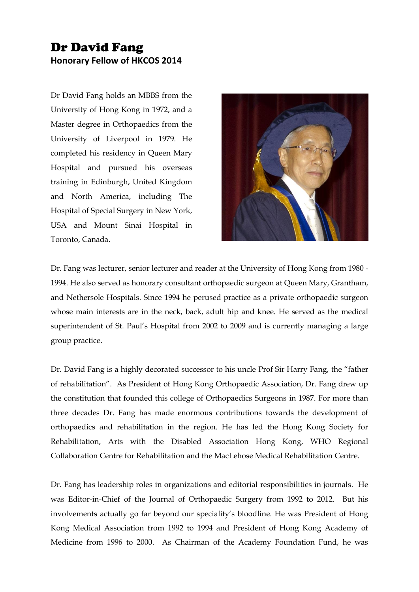## Dr David Fang **Honorary Fellow of HKCOS 2014**

Dr David Fang holds an MBBS from the University of Hong Kong in 1972, and a Master degree in Orthopaedics from the University of Liverpool in 1979. He completed his residency in Queen Mary Hospital and pursued his overseas training in Edinburgh, United Kingdom and North America, including The Hospital of Special Surgery in New York, USA and Mount Sinai Hospital in Toronto, Canada.



Dr. Fang was lecturer, senior lecturer and reader at the University of Hong Kong from 1980 - 1994. He also served as honorary consultant orthopaedic surgeon at Queen Mary, Grantham, and Nethersole Hospitals. Since 1994 he perused practice as a private orthopaedic surgeon whose main interests are in the neck, back, adult hip and knee. He served as the medical superintendent of St. Paul's Hospital from 2002 to 2009 and is currently managing a large group practice.

Dr. David Fang is a highly decorated successor to his uncle Prof Sir Harry Fang, the "father of rehabilitation". As President of Hong Kong Orthopaedic Association, Dr. Fang drew up the constitution that founded this college of Orthopaedics Surgeons in 1987. For more than three decades Dr. Fang has made enormous contributions towards the development of orthopaedics and rehabilitation in the region. He has led the Hong Kong Society for Rehabilitation, Arts with the Disabled Association Hong Kong, WHO Regional Collaboration Centre for Rehabilitation and the MacLehose Medical Rehabilitation Centre.

Dr. Fang has leadership roles in organizations and editorial responsibilities in journals. He was Editor-in-Chief of the Journal of Orthopaedic Surgery from 1992 to 2012. But his involvements actually go far beyond our speciality's bloodline. He was President of Hong Kong Medical Association from 1992 to 1994 and President of Hong Kong Academy of Medicine from 1996 to 2000. As Chairman of the Academy Foundation Fund, he was